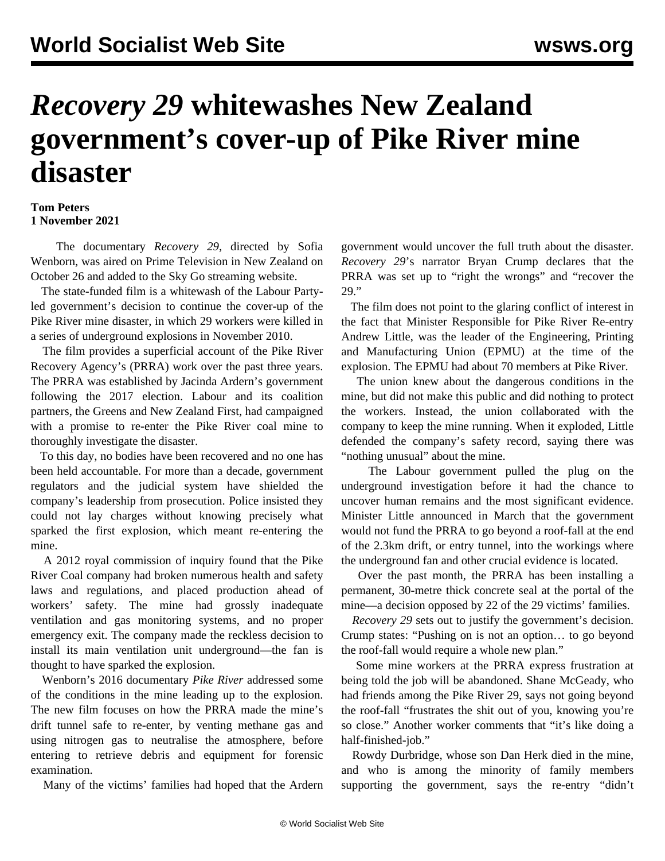## *Recovery 29* **whitewashes New Zealand government's cover-up of Pike River mine disaster**

## **Tom Peters 1 November 2021**

 The documentary *Recovery 29*, directed by Sofia Wenborn, was aired on Prime Television in New Zealand on October 26 and added to the Sky Go streaming website.

 The state-funded film is a whitewash of the Labour Partyled government's decision to continue the cover-up of the Pike River mine disaster, in which 29 workers were killed in a series of underground explosions in November 2010.

 The film provides a superficial account of the Pike River Recovery Agency's (PRRA) work over the past three years. The PRRA was established by Jacinda Ardern's government following the 2017 election. Labour and its coalition partners, the Greens and New Zealand First, had campaigned with a promise to re-enter the Pike River coal mine to thoroughly investigate the disaster.

 To this day, no bodies have been recovered and no one has been held accountable. For more than a decade, government regulators and the judicial system have shielded the company's leadership from prosecution. Police insisted they could not lay charges without knowing precisely what sparked the first explosion, which meant re-entering the mine.

 A 2012 royal commission of inquiry found that the Pike River Coal company had broken numerous health and safety laws and regulations, and placed production ahead of workers' safety. The mine had grossly inadequate ventilation and gas monitoring systems, and no proper emergency exit. The company made the reckless decision to install its main ventilation unit underground—the fan is thought to have sparked the explosion.

 Wenborn's 2016 documentary *Pike River* addressed some of the conditions in the mine leading up to the explosion. The new film focuses on how the PRRA made the mine's drift tunnel safe to re-enter, by venting methane gas and using nitrogen gas to neutralise the atmosphere, before entering to retrieve debris and equipment for forensic examination.

Many of the victims' families had hoped that the Ardern

government would uncover the full truth about the disaster. *Recovery 29*'s narrator Bryan Crump declares that the PRRA was set up to "right the wrongs" and "recover the 29."

 The film does not point to the glaring conflict of interest in the fact that Minister Responsible for Pike River Re-entry Andrew Little, was the leader of the Engineering, Printing and Manufacturing Union (EPMU) at the time of the explosion. The EPMU had about 70 members at Pike River.

 The union knew about the dangerous conditions in the mine, but did not make this public and did nothing to protect the workers. Instead, the union collaborated with the company to keep the mine running. When it exploded, Little defended the company's safety record, saying there was "nothing unusual" about the mine.

 The Labour government pulled the plug on the underground investigation before it had the chance to uncover human remains and the most significant evidence. Minister Little [announced](/en/articles/2021/04/02/pike-a02.html) in March that the government would not fund the PRRA to go beyond a roof-fall at the end of the 2.3km drift, or entry tunnel, into the workings where the underground fan and other crucial evidence is located.

 Over the past month, the PRRA has been installing a permanent, 30-metre thick concrete [seal](/en/articles/2021/09/30/pike-s30.html) at the portal of the mine—a decision opposed by 22 of the 29 victims' families.

 *Recovery 29* sets out to justify the government's decision. Crump states: "Pushing on is not an option… to go beyond the roof-fall would require a whole new plan."

 Some mine workers at the PRRA express frustration at being told the job will be abandoned. Shane McGeady, who had friends among the Pike River 29, says not going beyond the roof-fall "frustrates the shit out of you, knowing you're so close." Another worker comments that "it's like doing a half-finished-job."

 Rowdy Durbridge, whose son Dan Herk died in the mine, and who is among the minority of family members supporting the government, says the re-entry "didn't